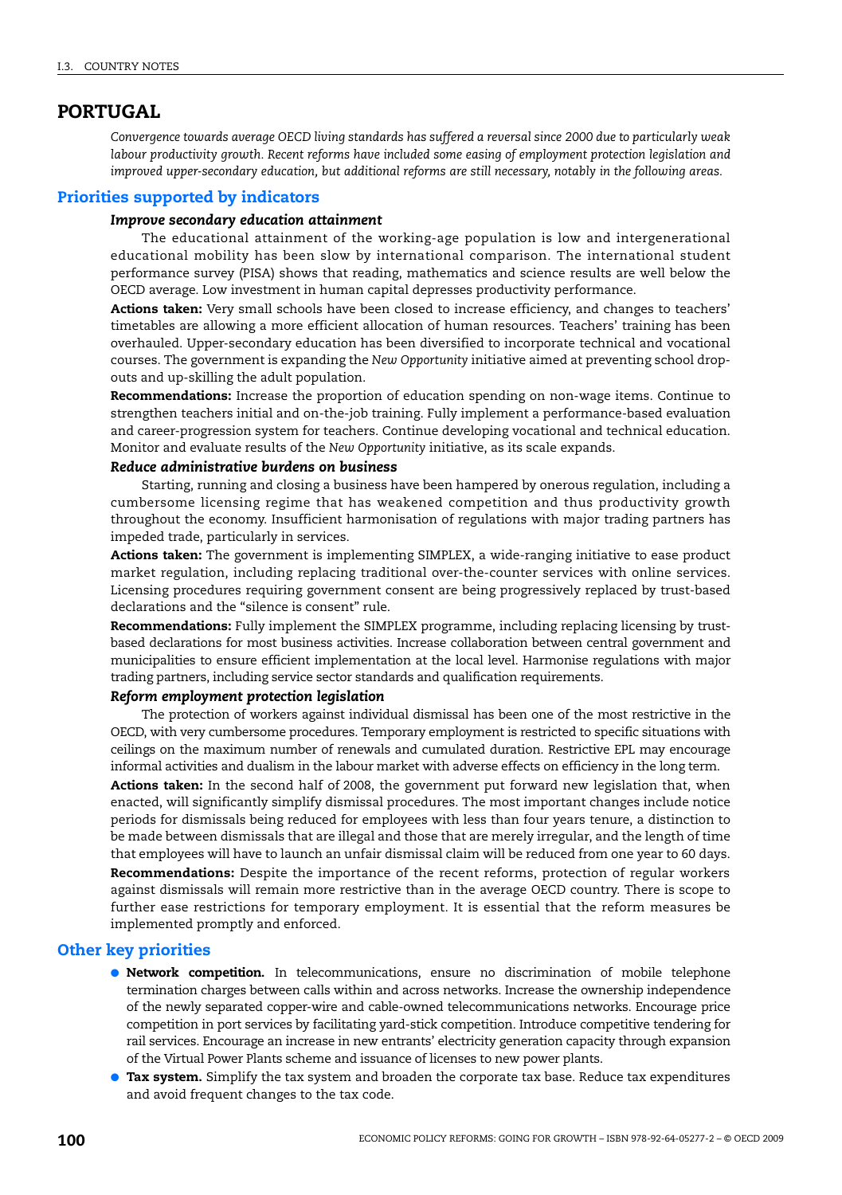## **PORTUGAL**

*Convergence towards average OECD living standards has suffered a reversal since 2000 due to particularly weak labour productivity growth. Recent reforms have included some easing of employment protection legislation and improved upper-secondary education, but additional reforms are still necessary, notably in the following areas.*

### **Priorities supported by indicators**

#### *Improve secondary education attainment*

The educational attainment of the working-age population is low and intergenerational educational mobility has been slow by international comparison. The international student performance survey (PISA) shows that reading, mathematics and science results are well below the OECD average. Low investment in human capital depresses productivity performance.

**Actions taken:** Very small schools have been closed to increase efficiency, and changes to teachers' timetables are allowing a more efficient allocation of human resources. Teachers' training has been overhauled. Upper-secondary education has been diversified to incorporate technical and vocational courses. The government is expanding the *New Opportunity* initiative aimed at preventing school dropouts and up-skilling the adult population.

**Recommendations:** Increase the proportion of education spending on non-wage items. Continue to strengthen teachers initial and on-the-job training. Fully implement a performance-based evaluation and career-progression system for teachers. Continue developing vocational and technical education. Monitor and evaluate results of the *New Opportunity* initiative, as its scale expands.

### *Reduce administrative burdens on business*

Starting, running and closing a business have been hampered by onerous regulation, including a cumbersome licensing regime that has weakened competition and thus productivity growth throughout the economy. Insufficient harmonisation of regulations with major trading partners has impeded trade, particularly in services.

**Actions taken:** The government is implementing SIMPLEX, a wide-ranging initiative to ease product market regulation, including replacing traditional over-the-counter services with online services. Licensing procedures requiring government consent are being progressively replaced by trust-based declarations and the "silence is consent" rule.

**Recommendations:** Fully implement the SIMPLEX programme, including replacing licensing by trustbased declarations for most business activities. Increase collaboration between central government and municipalities to ensure efficient implementation at the local level. Harmonise regulations with major trading partners, including service sector standards and qualification requirements.

#### *Reform employment protection legislation*

The protection of workers against individual dismissal has been one of the most restrictive in the OECD, with very cumbersome procedures. Temporary employment is restricted to specific situations with ceilings on the maximum number of renewals and cumulated duration. Restrictive EPL may encourage informal activities and dualism in the labour market with adverse effects on efficiency in the long term.

**Actions taken:** In the second half of 2008, the government put forward new legislation that, when enacted, will significantly simplify dismissal procedures. The most important changes include notice periods for dismissals being reduced for employees with less than four years tenure, a distinction to be made between dismissals that are illegal and those that are merely irregular, and the length of time that employees will have to launch an unfair dismissal claim will be reduced from one year to 60 days. **Recommendations:** Despite the importance of the recent reforms, protection of regular workers against dismissals will remain more restrictive than in the average OECD country. There is scope to further ease restrictions for temporary employment. It is essential that the reform measures be implemented promptly and enforced.

### **Other key priorities**

- **Network competition***.* In telecommunications, ensure no discrimination of mobile telephone termination charges between calls within and across networks. Increase the ownership independence of the newly separated copper-wire and cable-owned telecommunications networks. Encourage price competition in port services by facilitating yard-stick competition. Introduce competitive tendering for rail services. Encourage an increase in new entrants' electricity generation capacity through expansion of the Virtual Power Plants scheme and issuance of licenses to new power plants.
- **Tax system***.* Simplify the tax system and broaden the corporate tax base. Reduce tax expenditures and avoid frequent changes to the tax code.